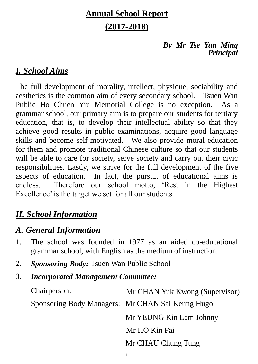# **Annual School Report (2017-2018)**

#### *By Mr Tse Yun Ming Principal*

# *I. School Aims*

The full development of morality, intellect, physique, sociability and aesthetics is the common aim of every secondary school. Tsuen Wan Public Ho Chuen Yiu Memorial College is no exception. As a grammar school, our primary aim is to prepare our students for tertiary education, that is, to develop their intellectual ability so that they achieve good results in public examinations, acquire good language skills and become self-motivated. We also provide moral education for them and promote traditional Chinese culture so that our students will be able to care for society, serve society and carry out their civic responsibilities. Lastly, we strive for the full development of the five aspects of education. In fact, the pursuit of educational aims is endless. Therefore our school motto, 'Rest in the Highest Excellence' is the target we set for all our students.

# *II. School Information*

# *A. General Information*

- 1. The school was founded in 1977 as an aided co-educational grammar school, with English as the medium of instruction.
- 2. *Sponsoring Body:* Tsuen Wan Public School
- 3. *Incorporated Management Committee:*

| Chairperson:                                     | Mr CHAN Yuk Kwong (Supervisor) |
|--------------------------------------------------|--------------------------------|
| Sponsoring Body Managers: Mr CHAN Sai Keung Hugo |                                |
|                                                  | Mr YEUNG Kin Lam Johnny        |
|                                                  | Mr HO Kin Fai                  |
|                                                  | Mr CHAU Chung Tung             |
|                                                  |                                |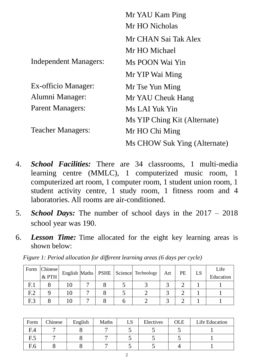|                          | Mr YAU Kam Ping              |
|--------------------------|------------------------------|
|                          | Mr HO Nicholas               |
|                          | Mr CHAN Sai Tak Alex         |
|                          | Mr HO Michael                |
| Independent Managers:    | Ms POON Wai Yin              |
|                          | Mr YIP Wai Ming              |
| Ex-officio Manager:      | Mr Tse Yun Ming              |
| Alumni Manager:          | Mr YAU Cheuk Hang            |
| <b>Parent Managers:</b>  | Ms LAI Yuk Yin               |
|                          | Ms YIP Ching Kit (Alternate) |
| <b>Teacher Managers:</b> | Mr HO Chi Ming               |
|                          | Ms CHOW Suk Ying (Alternate) |

- 4. *School Facilities:* There are 34 classrooms, 1 multi-media learning centre (MMLC), 1 computerized music room, 1 computerized art room, 1 computer room, 1 student union room, 1 student activity centre, 1 study room, 1 fitness room and 4 laboratories. All rooms are air-conditioned.
- 5. *School Days:* The number of school days in the 2017 2018 school year was 190.
- 6. *Lesson Time:* Time allocated for the eight key learning areas is shown below:

|                 | Form Chinese<br>& PTH |  |  | English Maths   PSHE   Science   Technology | Art | PE | LS | Life<br>Education |
|-----------------|-----------------------|--|--|---------------------------------------------|-----|----|----|-------------------|
| F <sub>1</sub>  |                       |  |  |                                             |     |    |    |                   |
| F <sub>12</sub> |                       |  |  |                                             |     |    |    |                   |
| F <sub>13</sub> |                       |  |  |                                             |     |    |    |                   |

*Figure 1: Period allocation for different learning areas (6 days per cycle)*

| Form | Chinese | English | Maths | LS | Electives | <b>OLE</b> | Life Education |
|------|---------|---------|-------|----|-----------|------------|----------------|
| F.4  |         |         |       |    |           |            |                |
| F.5  |         |         |       |    |           |            |                |
| F.6  |         |         |       |    |           |            |                |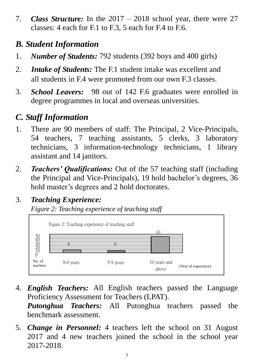7. *Class Structure:* In the 2017 – 2018 school year, there were 27 classes: 4 each for F.1 to F.3, 5 each for F.4 to F.6.

# *B. Student Information*

- 1. *Number of Students:* 792 students (392 boys and 400 girls)
- 2. *Intake of Students:* The F.1 student intake was excellent and all students in F.4 were promoted from our own F.3 classes.
- 3. *School Leavers:* 98 out of 142 F.6 graduates were enrolled in degree programmes in local and overseas universities.

# *C. Staff Information*

- 1. There are 90 members of staff: The Principal, 2 Vice-Principals, 54 teachers, 7 teaching assistants, 5 clerks, 3 laboratory technicians, 3 information-technology technicians, 1 library assistant and 14 janitors.
- 2. *Teachers' Qualifications:* Out of the 57 teaching staff (including the Principal and Vice-Principals), 19 hold bachelor's degrees, 36 hold master's degrees and 2 hold doctorates.

# 3. *Teaching Experience:*

*Figure 2: Teaching experience of teaching staff*



- 4. *English Teachers:* All English teachers passed the Language Proficiency Assessment for Teachers (LPAT). *Putonghua Teachers:* All Putonghua teachers passed the benchmark assessment.
- 5. *Change in Personnel:* 4 teachers left the school on 31 August 2017 and 4 new teachers joined the school in the school year 2017-2018.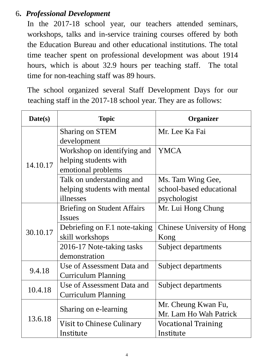## 6**.** *Professional Development*

In the 2017-18 school year, our teachers attended seminars, workshops, talks and in-service training courses offered by both the Education Bureau and other educational institutions. The total time teacher spent on professional development was about 1914 hours, which is about 32.9 hours per teaching staff. The total time for non-teaching staff was 89 hours.

The school organized several Staff Development Days for our teaching staff in the 2017-18 school year. They are as follows:

| Date(s)  | <b>Topic</b>                       | <b>Organizer</b>           |
|----------|------------------------------------|----------------------------|
|          | <b>Sharing on STEM</b>             | Mr. Lee Ka Fai             |
|          | development                        |                            |
|          | Workshop on identifying and        | <b>YMCA</b>                |
| 14.10.17 | helping students with              |                            |
|          | emotional problems                 |                            |
|          | Talk on understanding and          | Ms. Tam Wing Gee,          |
|          | helping students with mental       | school-based educational   |
|          | illnesses                          | psychologist               |
|          | <b>Briefing on Student Affairs</b> | Mr. Lui Hong Chung         |
|          | <b>Issues</b>                      |                            |
| 30.10.17 | Debriefing on F.1 note-taking      | Chinese University of Hong |
|          | skill workshops                    | Kong                       |
|          | 2016-17 Note-taking tasks          | Subject departments        |
|          | demonstration                      |                            |
| 9.4.18   | Use of Assessment Data and         | Subject departments        |
|          | <b>Curriculum Planning</b>         |                            |
|          | Use of Assessment Data and         | Subject departments        |
| 10.4.18  | <b>Curriculum Planning</b>         |                            |
|          |                                    | Mr. Cheung Kwan Fu,        |
|          | Sharing on e-learning              | Mr. Lam Ho Wah Patrick     |
| 13.6.18  | Visit to Chinese Culinary          | <b>Vocational Training</b> |
|          | Institute                          | Institute                  |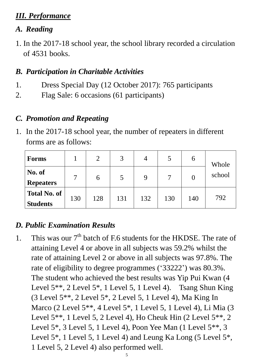## *III. Performance*

## *A. Reading*

1. In the 2017-18 school year, the school library recorded a circulation of 4531 books.

## *B. Participation in Charitable Activities*

- 1. Dress Special Day (12 October 2017): 765 participants
- 2. Flag Sale: 6 occasions (61 participants)

### *C. Promotion and Repeating*

1. In the 2017-18 school year, the number of repeaters in different forms are as follows:

| <b>Forms</b>                           |                 |     | 3   | 4   |     | 6   | Whole  |
|----------------------------------------|-----------------|-----|-----|-----|-----|-----|--------|
| No. of<br><b>Repeaters</b>             | $\mathbf{\tau}$ | 6   |     | 9   |     |     | school |
| <b>Total No. of</b><br><b>Students</b> | 130             | 128 | 131 | 132 | 130 | 140 | 792    |

## *D. Public Examination Results*

1. This was our  $7<sup>th</sup>$  batch of F.6 students for the HKDSE. The rate of attaining Level 4 or above in all subjects was 59.2% whilst the rate of attaining Level 2 or above in all subjects was 97.8%. The rate of eligibility to degree programmes ('33222') was 80.3%. The student who achieved the best results was Yip Pui Kwan (4 Level 5<sup>\*\*</sup>, 2 Level 5<sup>\*</sup>, 1 Level 5, 1 Level 4). Tsang Shun King (3 Level 5\*\*, 2 Level 5\*, 2 Level 5, 1 Level 4), Ma King In Marco (2 Level 5\*\*, 4 Level 5\*, 1 Level 5, 1 Level 4), Li Mia (3 Level 5\*\*, 1 Level 5, 2 Level 4), Ho Cheuk Hin (2 Level 5\*\*, 2 Level 5\*, 3 Level 5, 1 Level 4), Poon Yee Man (1 Level 5\*\*, 3 Level 5<sup>\*</sup>, 1 Level 5, 1 Level 4) and Leung Ka Long (5 Level 5<sup>\*</sup>, 1 Level 5, 2 Level 4) also performed well.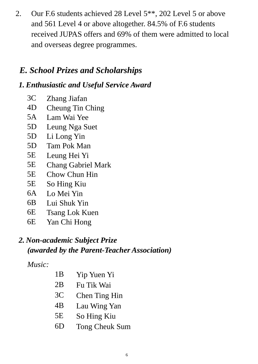2. Our F.6 students achieved 28 Level 5\*\*, 202 Level 5 or above and 561 Level 4 or above altogether. 84.5% of F.6 students received JUPAS offers and 69% of them were admitted to local and overseas degree programmes.

# *E. School Prizes and Scholarships*

# *1. Enthusiastic and Useful Service Award*

- 3C Zhang Jiafan
- 4D Cheung Tin Ching
- 5A Lam Wai Yee
- 5D Leung Nga Suet
- 5D Li Long Yin
- 5D Tam Pok Man
- 5E Leung Hei Yi
- 5E Chang Gabriel Mark
- 5E Chow Chun Hin
- 5E So Hing Kiu
- 6A Lo Mei Yin
- 6B Lui Shuk Yin
- 6E Tsang Lok Kuen
- 6E Yan Chi Hong

# *2. Non-academic Subject Prize (awarded by the Parent-Teacher Association)*

## *Music:*

| 1B             | Yip Yuen Yi           |
|----------------|-----------------------|
| 2B             | Fu Tik Wai            |
| 3 <sub>C</sub> | <b>Chen Ting Hin</b>  |
| 4B             | Lau Wing Yan          |
| 5E             | So Hing Kiu           |
| 6D             | <b>Tong Cheuk Sum</b> |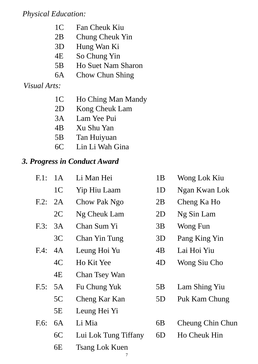## *Physical Education:*

- 1C Fan Cheuk Kiu
- 2B Chung Cheuk Yin
- 3D Hung Wan Ki
- 4E So Chung Yin
- 5B Ho Suet Nam Sharon
- 6A Chow Chun Shing

## *Visual Arts:*

- 1C Ho Ching Man Mandy
- 2D Kong Cheuk Lam
- 3A Lam Yee Pui
- 4B Xu Shu Yan
- 5B Tan Huiyuan
- 6C Lin Li Wah Gina

## *3. Progress in Conduct Award*

| 1A             | Li Man Hei            | 1B             | Wong Lok Kiu     |
|----------------|-----------------------|----------------|------------------|
| 1 <sup>C</sup> | Yip Hiu Laam          | 1 <sub>D</sub> | Ngan Kwan Lok    |
| 2A             | Chow Pak Ngo          | 2B             | Cheng Ka Ho      |
| 2C             | Ng Cheuk Lam          | 2D             | Ng Sin Lam       |
| 3A             | Chan Sum Yi           | 3B             | Wong Fun         |
| 3C             | Chan Yin Tung         | 3D             | Pang King Yin    |
| 4A             | Leung Hoi Yu          | 4B             | Lai Hoi Yiu      |
| 4C             | Ho Kit Yee            | 4D             | Wong Siu Cho     |
| 4E             | <b>Chan Tsey Wan</b>  |                |                  |
| 5A             | Fu Chung Yuk          | 5B             | Lam Shing Yiu    |
| 5C             | Cheng Kar Kan         | 5D             | Puk Kam Chung    |
| 5E             | Leung Hei Yi          |                |                  |
| 6A             | Li Mia                | 6B             | Cheung Chin Chun |
| 6C             | Lui Lok Tung Tiffany  | 6D             | Ho Cheuk Hin     |
| 6E             | <b>Tsang Lok Kuen</b> |                |                  |
|                |                       |                |                  |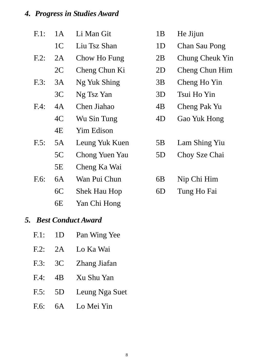# *4. Progress in Studies Award*

| $F.1$ : | 1A             | Li Man Git          | 1B             | He Jijun        |
|---------|----------------|---------------------|----------------|-----------------|
|         | 1 <sup>C</sup> | Liu Tsz Shan        | 1 <sub>D</sub> | Chan Sau Pong   |
| $F.2$ : | 2A             | Chow Ho Fung        | 2B             | Chung Cheuk Yin |
|         | 2C             | Cheng Chun Ki       | 2D             | Cheng Chun Him  |
| F.3:    | 3A             | Ng Yuk Shing        | 3B             | Cheng Ho Yin    |
|         | 3C             | Ng Tsz Yan          | 3D             | Tsui Ho Yin     |
| $F.4$ : | 4A             | Chen Jiahao         | 4B             | Cheng Pak Yu    |
|         | 4C             | Wu Sin Tung         | 4D             | Gao Yuk Hong    |
|         | 4E             | Yim Edison          |                |                 |
| $F.5$ : | 5A             | Leung Yuk Kuen      | 5B             | Lam Shing Yiu   |
|         | 5C             | Chong Yuen Yau      | 5D             | Choy Sze Chai   |
|         | 5E             | Cheng Ka Wai        |                |                 |
| $F.6$ : | 6A             | Wan Pui Chun        | 6 <sub>B</sub> | Nip Chi Him     |
|         | 6C             | <b>Shek Hau Hop</b> | 6D             | Tung Ho Fai     |
|         |                |                     |                |                 |

6E Yan Chi Hong

## *5. Best Conduct Award*

| F.1:    | 1D              | Pan Wing Yee   |
|---------|-----------------|----------------|
| $F.2$ : | 2A              | Lo Ka Wai      |
| F.3:    | 3C              | Zhang Jiafan   |
| F.4:    | $\overline{AB}$ | Xu Shu Yan     |
| F.5:    | 5D              | Leung Nga Suet |
| $F.6$ : | 6A              | Lo Mei Yin     |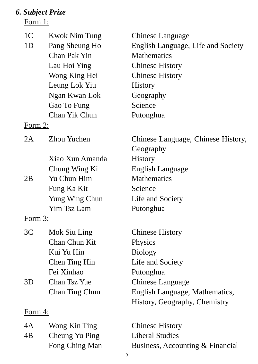# *6. Subject Prize*

Form 1:

| 1 <sup>C</sup> | Kwok Nim Tung      | Chinese Language                   |
|----------------|--------------------|------------------------------------|
| 1 <sub>D</sub> | Pang Sheung Ho     | English Language, Life and Society |
|                | Chan Pak Yin       | <b>Mathematics</b>                 |
|                | Lau Hoi Ying       | <b>Chinese History</b>             |
|                | Wong King Hei      | <b>Chinese History</b>             |
|                | Leung Lok Yiu      | <b>History</b>                     |
|                | Ngan Kwan Lok      | Geography                          |
|                | Gao To Fung        | Science                            |
|                | Chan Yik Chun      | Putonghua                          |
| <u>Form 2:</u> |                    |                                    |
| 2A             | <b>Zhou Yuchen</b> | Chinese Language, Chinese History, |
|                |                    | Geography                          |
|                | Xiao Xun Amanda    | <b>History</b>                     |
|                | Chung Wing Ki      | English Language                   |
| 2B             | Yu Chun Him        | <b>Mathematics</b>                 |
|                | Fung Ka Kit        | Science                            |
|                | Yung Wing Chun     | Life and Society                   |
|                | Yim Tsz Lam        | Putonghua                          |
| Form 3:        |                    |                                    |
| 3C             | Mok Siu Ling       | <b>Chinese History</b>             |
|                | Chan Chun Kit      | Physics                            |
|                | Kui Yu Hin         | <b>Biology</b>                     |
|                | Chen Ting Hin      | Life and Society                   |
|                | Fei Xinhao         | Putonghua                          |
| 3D             | Chan Tsz Yue       | Chinese Language                   |
|                | Chan Ting Chun     | English Language, Mathematics,     |
|                |                    | History, Geography, Chemistry      |
| Form 4:        |                    |                                    |
| 4A             | Wong Kin Ting      | <b>Chinese History</b>             |

4B Cheung Yu Ping Liberal Studies

Fong Ching Man Business, Accounting & Financial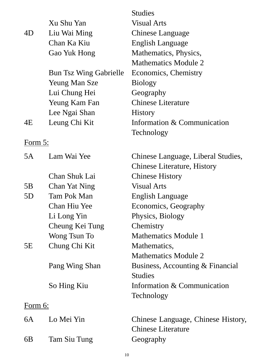|                |                               | <b>Studies</b>                     |
|----------------|-------------------------------|------------------------------------|
|                | Xu Shu Yan                    | <b>Visual Arts</b>                 |
| 4D             | Liu Wai Ming                  | Chinese Language                   |
|                | Chan Ka Kiu                   | English Language                   |
|                | Gao Yuk Hong                  | Mathematics, Physics,              |
|                |                               | <b>Mathematics Module 2</b>        |
|                | <b>Bun Tsz Wing Gabrielle</b> | Economics, Chemistry               |
|                | <b>Yeung Man Sze</b>          | <b>Biology</b>                     |
|                | Lui Chung Hei                 | Geography                          |
|                | Yeung Kam Fan                 | <b>Chinese Literature</b>          |
|                | Lee Ngai Shan                 | <b>History</b>                     |
| 4E             | Leung Chi Kit                 | Information & Communication        |
|                |                               | Technology                         |
| <u>Form 5:</u> |                               |                                    |
| 5A             | Lam Wai Yee                   | Chinese Language, Liberal Studies, |
|                |                               | <b>Chinese Literature, History</b> |
|                | Chan Shuk Lai                 | <b>Chinese History</b>             |
| 5B             | Chan Yat Ning                 | <b>Visual Arts</b>                 |
| 5D             | <b>Tam Pok Man</b>            | English Language                   |
|                | Chan Hiu Yee                  | Economics, Geography               |
|                | Li Long Yin                   | Physics, Biology                   |
|                | Cheung Kei Tung               | Chemistry                          |
|                | Wong Tsun To                  | <b>Mathematics Module 1</b>        |
| 5E             | Chung Chi Kit                 | Mathematics,                       |
|                |                               | <b>Mathematics Module 2</b>        |
|                | Pang Wing Shan                | Business, Accounting & Financial   |
|                |                               | <b>Studies</b>                     |
|                | So Hing Kiu                   | Information & Communication        |
|                |                               | Technology                         |
| <u>Form 6:</u> |                               |                                    |
| 6A             | Lo Mei Yin                    | Chinese Language, Chinese History, |
|                |                               | <b>Chinese Literature</b>          |
| 6B             | Tam Siu Tung                  | Geography                          |
|                |                               |                                    |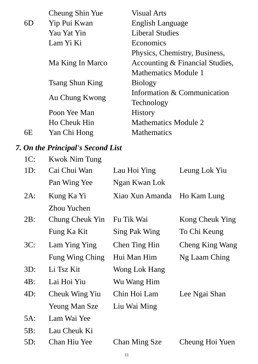|    | Cheung Shin Yue        | <b>Visual Arts</b>              |
|----|------------------------|---------------------------------|
| 6D | Yip Pui Kwan           | English Language                |
|    | Yau Yat Yin            | <b>Liberal Studies</b>          |
|    | Lam Yi Ki              | Economics                       |
|    |                        | Physics, Chemistry, Business,   |
|    | Ma King In Marco       | Accounting & Financial Studies, |
|    |                        | Mathematics Module 1            |
|    | <b>Tsang Shun King</b> | <b>Biology</b>                  |
|    |                        | Information & Communication     |
|    | Au Chung Kwong         | Technology                      |
|    | Poon Yee Man           | <b>History</b>                  |
|    | Ho Cheuk Hin           | Mathematics Module 2            |
| 6E | Yan Chi Hong           | <b>Mathematics</b>              |

# *7. On the Principal's Second List*

| $1C$ : | <b>Kwok Nim Tung</b> |                      |                 |
|--------|----------------------|----------------------|-----------------|
| $1D$ : | Cai Chui Wan         | Lau Hoi Ying         | Leung Lok Yiu   |
|        | Pan Wing Yee         | Ngan Kwan Lok        |                 |
| $2A$ : | Kung Ka Yi           | Xiao Xun Amanda      | Ho Kam Lung     |
|        | Zhou Yuchen          |                      |                 |
| 2B:    | Chung Cheuk Yin      | Fu Tik Wai           | Kong Cheuk Ying |
|        | Fung Ka Kit          | Sing Pak Wing        | To Chi Keung    |
| 3C:    | Lam Ying Ying        | Chen Ting Hin        | Cheng King Wang |
|        | Fung Wing Ching      | Hui Man Him          | Ng Laam Ching   |
| $3D$ : | Li Tsz Kit           | Wong Lok Hang        |                 |
| 4B:    | Lai Hoi Yiu          | Wu Wang Him          |                 |
| 4D:    | Cheuk Wing Yiu       | Chin Hoi Lam         | Lee Ngai Shan   |
|        | <b>Yeung Man Sze</b> | Liu Wai Ming         |                 |
| 5A:    | Lam Wai Yee          |                      |                 |
| 5B:    | Lau Cheuk Ki         |                      |                 |
| 5D:    | Chan Hiu Yee         | <b>Chan Ming Sze</b> | Cheung Hoi Yuen |
|        |                      |                      |                 |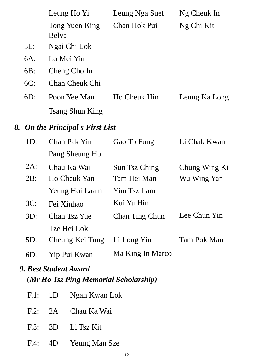|        | Leung Ho Yi                      | Leung Nga Suet        | Ng Cheuk In   |
|--------|----------------------------------|-----------------------|---------------|
|        | Tong Yuen King<br>Belva          | Chan Hok Pui          | Ng Chi Kit    |
| 5E:    | Ngai Chi Lok                     |                       |               |
| 6A:    | Lo Mei Yin                       |                       |               |
| $6B$ : | Cheng Cho Iu                     |                       |               |
| $6C$ : | <b>Chan Cheuk Chi</b>            |                       |               |
| $6D$ : | Poon Yee Man                     | Ho Cheuk Hin          | Leung Ka Long |
|        | <b>Tsang Shun King</b>           |                       |               |
|        | 8. On the Principal's First List |                       |               |
| 1D:    | Chan Pak Yin                     | Gao To Fung           | Li Chak Kwan  |
|        | Pang Sheung Ho                   |                       |               |
| $2A$ : | Chau Ka Wai                      | Sun Tsz Ching         | Chung Wing Ki |
| 2B:    | Ho Cheuk Yan                     | Tam Hei Man           | Wu Wing Yan   |
|        | Yeung Hoi Laam                   | Yim Tsz Lam           |               |
| 3C:    | Fei Xinhao                       | Kui Yu Hin            |               |
| 3D:    | Chan Tsz Yue                     | <b>Chan Ting Chun</b> | Lee Chun Yin  |
|        | Tze Hei Lok                      |                       |               |
| 5D:    | Cheung Kei Tung                  | Li Long Yin           | Tam Pok Man   |
| $6D$ : | Yip Pui Kwan                     | Ma King In Marco      |               |

# *9. Best Student Award* (*Mr Ho Tsz Ping Memorial Scholarship)*

|  | F.1: 1D Ngan Kwan Lok |
|--|-----------------------|
|  | F.2: 2A Chau Ka Wai   |
|  | F.3: 3D Li Tsz Kit    |
|  | F.4: 4D Yeung Man Sze |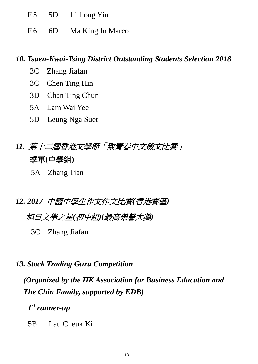- F.5: 5D Li Long Yin
- F.6: 6D Ma King In Marco

#### *10. Tsuen-Kwai-Tsing District Outstanding Students Selection 2018*

- 3C Zhang Jiafan
- 3C Chen Ting Hin
- 3D Chan Ting Chun
- 5A Lam Wai Yee
- 5D Leung Nga Suet
- *11.* 第十二屆香港文學節「致青春中文徴文比賽」 季軍**(**中學組**)**
	- 5A Zhang Tian
- *12. 2017* 中國中學生作文作文比賽*(*香港賽區*)*

## 旭日文學之星*(*初中組*)(*最高榮譽大獎*)*

- 3C Zhang Jiafan
- *13. Stock Trading Guru Competition*

*(Organized by the HK Association for Business Education and The Chin Family, supported by EDB)*

*1 st runner-up*

5B Lau Cheuk Ki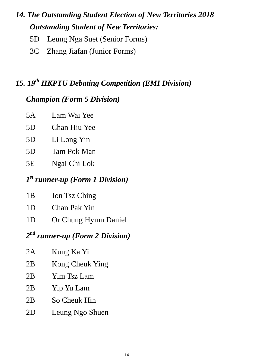# *14. The Outstanding Student Election of New Territories 2018 Outstanding Student of New Territories:*

- 5D Leung Nga Suet (Senior Forms)
- 3C Zhang Jiafan (Junior Forms)

# *15. 19th HKPTU Debating Competition (EMI Division)*

### *Champion (Form 5 Division)*

| 5A   | Lam Wai Yee  |
|------|--------------|
| 5D   | Chan Hiu Yee |
| 5D   | Li Long Yin  |
| 5D   | Tam Pok Man  |
| 5E   | Ngai Chi Lok |
| $ -$ |              |

# *1 st runner-up (Form 1 Division)*

- 1D Chan Pak Yin
- 1D Or Chung Hymn Daniel

## *2 nd runner-up (Form 2 Division)*

| 2A | Kung Ka Yi      |
|----|-----------------|
| 2B | Kong Cheuk Ying |
| 2B | Yim Tsz Lam     |
| 2B | Yip Yu Lam      |
| 2B | So Cheuk Hin    |
| 2D | Leung Ngo Shuen |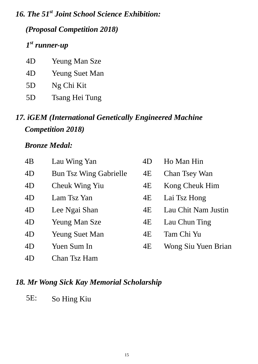*16. The 51st Joint School Science Exhibition:*

*(Proposal Competition 2018)*

## *1 st runner-up*

| 4D | Yeung Man Sze         |
|----|-----------------------|
| 4D | <b>Yeung Suet Man</b> |
| 5D | Ng Chi Kit            |
| 5D | Tsang Hei Tung        |

# *17. iGEM (International Genetically Engineered Machine Competition 2018)*

## *Bronze Medal:*

| 4B | Lau Wing Yan                  | 4D | Ho Man Hin           |
|----|-------------------------------|----|----------------------|
| 4D | <b>Bun Tsz Wing Gabrielle</b> | 4E | <b>Chan Tsey Wan</b> |
| 4D | Cheuk Wing Yiu                | 4E | Kong Cheuk Him       |
| 4D | Lam Tsz Yan                   | 4E | Lai Tsz Hong         |
| 4D | Lee Ngai Shan                 | 4E | Lau Chit Nam Justin  |
| 4D | <b>Yeung Man Sze</b>          | 4E | Lau Chun Ting        |
| 4D | <b>Yeung Suet Man</b>         | 4E | Tam Chi Yu           |
| 4D | Yuen Sum In                   | 4E | Wong Siu Yuen Brian  |
| 4D | Chan Tsz Ham                  |    |                      |

## *18. Mr Wong Sick Kay Memorial Scholarship*

5E: So Hing Kiu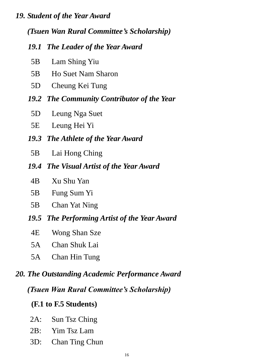#### *19. Student of the Year Award*

*(Tsuen Wan Rural Committee's Scholarship)*

#### *19.1 The Leader of the Year Award*

- 5B Lam Shing Yiu
- 5B Ho Suet Nam Sharon
- 5D Cheung Kei Tung
- *19.2 The Community Contributor of the Year*
	- 5D Leung Nga Suet
	- 5E Leung Hei Yi
- *19.3 The Athlete of the Year Award*
- 5B Lai Hong Ching
- *19.4 The Visual Artist of the Year Award*
	- 4B Xu Shu Yan
	- 5B Fung Sum Yi
	- 5B Chan Yat Ning
- *19.5 The Performing Artist of the Year Award*
	- 4E Wong Shan Sze
	- 5A Chan Shuk Lai
	- 5A Chan Hin Tung

#### *20. The Outstanding Academic Performance Award*

*(Tsuen Wan Rural Committee's Scholarship)*

#### **(F.1 to F.5 Students)**

- 2A: Sun Tsz Ching
- 2B: Yim Tsz Lam
- 3D: Chan Ting Chun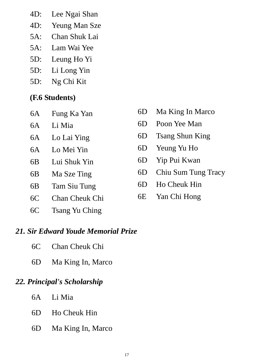- 4D: Lee Ngai Shan
- 4D: Yeung Man Sze
- 5A: Chan Shuk Lai
- 5A: Lam Wai Yee
- 5D: Leung Ho Yi
- 5D: Li Long Yin
- 5D: Ng Chi Kit

## **(F.6 Students)**

| 6A<br>Fung Ka Yan |  |
|-------------------|--|
|-------------------|--|

- 
- 
- 
- 
- 
- 
- 
- 6C Tsang Yu Ching

#### *21. Sir Edward Youde Memorial Prize*

- 6C Chan Cheuk Chi
- 6D Ma King In, Marco

#### *22. Principal's Scholarship*

- 6A Li Mia
- 6D Ho Cheuk Hin
- 6D Ma King In, Marco
- 6D Ma King In Marco
- 6A Li Mia 6D Poon Yee Man
- 6A Lo Lai Ying 6D Tsang Shun King
- 6A Lo Mei Yin 6D Yeung Yu Ho
- 6B Lui Shuk Yin 6D Yip Pui Kwan
- 6B Ma Sze Ting 6D Chiu Sum Tung Tracy
- 6B Tam Siu Tung 6D Ho Cheuk Hin
- 6C Chan Cheuk Chi 6E Yan Chi Hong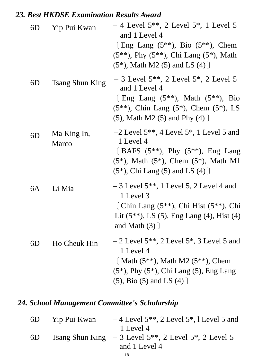## *23. Best HKDSE Examination Results Award*

| 6D | Yip Pui Kwan                | $-4$ Level 5 <sup>**</sup> , 2 Level 5 <sup>*</sup> , 1 Level 5<br>and 1 Level 4<br>[Eng Lang $(5^{**})$ , Bio $(5^{**})$ , Chem<br>$(5^{**})$ , Phy $(5^{**})$ , Chi Lang $(5^*)$ , Math<br>$(5^*)$ , Math M2 $(5)$ and LS $(4)$ ] |
|----|-----------------------------|-------------------------------------------------------------------------------------------------------------------------------------------------------------------------------------------------------------------------------------|
| 6D | <b>Tsang Shun King</b>      | $-3$ Level 5 <sup>**</sup> , 2 Level 5 <sup>*</sup> , 2 Level 5<br>and 1 Level 4<br>[ Eng Lang $(5^{**})$ , Math $(5^{**})$ , Bio<br>$(5^{**})$ , Chin Lang $(5^*)$ , Chem $(5^*)$ , LS<br>$(5)$ , Math M2 $(5)$ and Phy $(4)$ ]    |
| 6D | Ma King In,<br><b>Marco</b> | $-2$ Level 5 <sup>**</sup> , 4 Level 5 <sup>*</sup> , 1 Level 5 and<br>1 Level 4<br>[BAFS $(5^{**})$ , Phy $(5^{**})$ , Eng Lang<br>$(5^*)$ , Math $(5^*)$ , Chem $(5^*)$ , Math M1<br>$(5^*)$ , Chi Lang $(5)$ and LS $(4)$ ]      |
| 6A | Li Mia                      | $-3$ Level 5 <sup>**</sup> , 1 Level 5, 2 Level 4 and<br>1 Level 3<br>[Chin Lang $(5^{**})$ , Chi Hist $(5^{**})$ , Chi<br>Lit $(5^{**})$ , LS $(5)$ , Eng Lang $(4)$ , Hist $(4)$<br>and Math $(3)$ ]                              |
| 6D | Ho Cheuk Hin                | $-2$ Level 5 <sup>**</sup> , 2 Level 5 <sup>*</sup> , 3 Level 5 and<br>1 Level 4<br>[Math $(5^{**})$ , Math M2 $(5^{**})$ , Chem<br>$(5^*)$ , Phy $(5^*)$ , Chi Lang $(5)$ , Eng Lang<br>$(5)$ , Bio $(5)$ and LS $(4)$ ]           |

# *24. School Management Committee's Scholarship*

| 6D | Yip Pui Kwan | $-4$ Level 5 <sup>**</sup> , 2 Level 5 <sup>*</sup> , 1 Level 5 and |
|----|--------------|---------------------------------------------------------------------|
|    |              | 1 Level 4                                                           |
| 6D |              | Tsang Shun King $-3$ Level $5**$ , 2 Level $5*$ , 2 Level 5         |
|    |              | and 1 Level 4                                                       |
|    |              |                                                                     |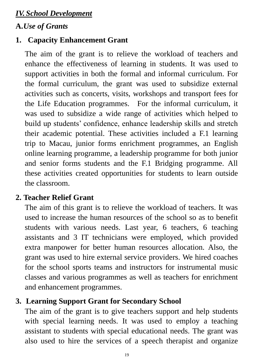## *IV. School Development*

## **A.***Use of Grants*

# **1. Capacity Enhancement Grant**

The aim of the grant is to relieve the workload of teachers and enhance the effectiveness of learning in students. It was used to support activities in both the formal and informal curriculum. For the formal curriculum, the grant was used to subsidize external activities such as concerts, visits, workshops and transport fees for the Life Education programmes. For the informal curriculum, it was used to subsidize a wide range of activities which helped to build up students' confidence, enhance leadership skills and stretch their academic potential. These activities included a F.1 learning trip to Macau, junior forms enrichment programmes, an English online learning programme, a leadership programme for both junior and senior forms students and the F.1 Bridging programme. All these activities created opportunities for students to learn outside the classroom.

## **2. Teacher Relief Grant**

The aim of this grant is to relieve the workload of teachers. It was used to increase the human resources of the school so as to benefit students with various needs. Last year, 6 teachers, 6 teaching assistants and 3 IT technicians were employed, which provided extra manpower for better human resources allocation. Also, the grant was used to hire external service providers. We hired coaches for the school sports teams and instructors for instrumental music classes and various programmes as well as teachers for enrichment and enhancement programmes.

## **3. Learning Support Grant for Secondary School**

The aim of the grant is to give teachers support and help students with special learning needs. It was used to employ a teaching assistant to students with special educational needs. The grant was also used to hire the services of a speech therapist and organize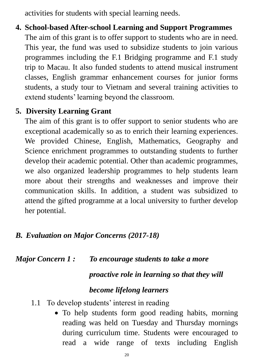activities for students with special learning needs.

**4. School-based After-school Learning and Support Programmes** The aim of this grant is to offer support to students who are in need. This year, the fund was used to subsidize students to join various programmes including the F.1 Bridging programme and F.1 study trip to Macau. It also funded students to attend musical instrument classes, English grammar enhancement courses for junior forms students, a study tour to Vietnam and several training activities to extend students' learning beyond the classroom.

## **5. Diversity Learning Grant**

The aim of this grant is to offer support to senior students who are exceptional academically so as to enrich their learning experiences. We provided Chinese, English, Mathematics, Geography and Science enrichment programmes to outstanding students to further develop their academic potential. Other than academic programmes, we also organized leadership programmes to help students learn more about their strengths and weaknesses and improve their communication skills. In addition, a student was subsidized to attend the gifted programme at a local university to further develop her potential.  $\overline{a}$ 

## *B. Evaluation on Major Concerns (2017-18)*

*Major Concern 1 : To encourage students to take a more* 

#### *proactive role in learning so that they will*

### *become lifelong learners*

- 1.1 To develop students' interest in reading
	- To help students form good reading habits, morning reading was held on Tuesday and Thursday mornings during curriculum time. Students were encouraged to read a wide range of texts including English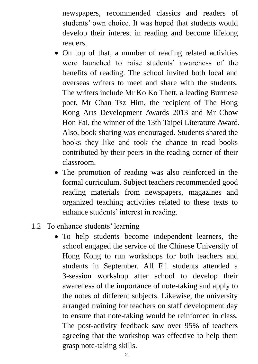newspapers, recommended classics and readers of students' own choice. It was hoped that students would develop their interest in reading and become lifelong readers.

- On top of that, a number of reading related activities were launched to raise students' awareness of the benefits of reading. The school invited both local and overseas writers to meet and share with the students. The writers include Mr Ko Ko Thett, a leading Burmese poet, Mr Chan Tsz Him, the recipient of The Hong Kong Arts Development Awards 2013 and Mr Chow Hon Fai, the winner of the 13th Taipei Literature Award. Also, book sharing was encouraged. Students shared the books they like and took the chance to read books contributed by their peers in the reading corner of their classroom.
- The promotion of reading was also reinforced in the formal curriculum. Subject teachers recommended good reading materials from newspapers, magazines and organized teaching activities related to these texts to enhance students' interest in reading.
- 1.2 To enhance students' learning
	- To help students become independent learners, the school engaged the service of the Chinese University of Hong Kong to run workshops for both teachers and students in September. All F.1 students attended a 3-session workshop after school to develop their awareness of the importance of note-taking and apply to the notes of different subjects. Likewise, the university arranged training for teachers on staff development day to ensure that note-taking would be reinforced in class. The post-activity feedback saw over 95% of teachers agreeing that the workshop was effective to help them grasp note-taking skills.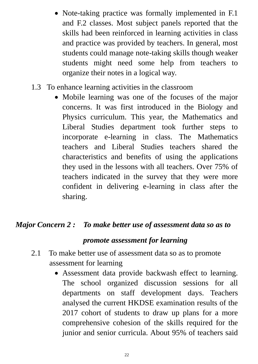- Note-taking practice was formally implemented in F.1 and F.2 classes. Most subject panels reported that the skills had been reinforced in learning activities in class and practice was provided by teachers. In general, most students could manage note-taking skills though weaker students might need some help from teachers to organize their notes in a logical way.
- 1.3 To enhance learning activities in the classroom
	- Mobile learning was one of the focuses of the major concerns. It was first introduced in the Biology and Physics curriculum. This year, the Mathematics and Liberal Studies department took further steps to incorporate e-learning in class. The Mathematics teachers and Liberal Studies teachers shared the characteristics and benefits of using the applications they used in the lessons with all teachers. Over 75% of teachers indicated in the survey that they were more confident in delivering e-learning in class after the sharing.

## *Major Concern 2 : To make better use of assessment data so as to*

#### *promote assessment for learning*

- 2.1 To make better use of assessment data so as to promote assessment for learning
	- Assessment data provide backwash effect to learning. The school organized discussion sessions for all departments on staff development days. Teachers analysed the current HKDSE examination results of the 2017 cohort of students to draw up plans for a more comprehensive cohesion of the skills required for the junior and senior curricula. About 95% of teachers said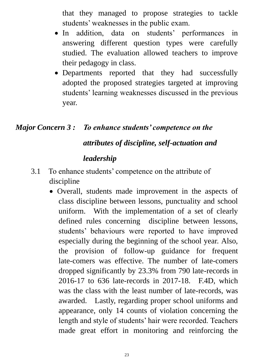that they managed to propose strategies to tackle students' weaknesses in the public exam.

- In addition, data on students' performances in answering different question types were carefully studied. The evaluation allowed teachers to improve their pedagogy in class.
- Departments reported that they had successfully adopted the proposed strategies targeted at improving students' learning weaknesses discussed in the previous year.

### *Major Concern 3 : To enhance students' competence on the*

### *attributes of discipline, self-actuation and*

#### *leadership*

- 3.1 To enhance students' competence on the attribute of discipline
	- Overall, students made improvement in the aspects of class discipline between lessons, punctuality and school uniform. With the implementation of a set of clearly defined rules concerning discipline between lessons, students' behaviours were reported to have improved especially during the beginning of the school year. Also, the provision of follow-up guidance for frequent late-comers was effective. The number of late-comers dropped significantly by 23.3% from 790 late-records in 2016-17 to 636 late-records in 2017-18. F.4D, which was the class with the least number of late-records, was awarded. Lastly, regarding proper school uniforms and appearance, only 14 counts of violation concerning the length and style of students' hair were recorded. Teachers made great effort in monitoring and reinforcing the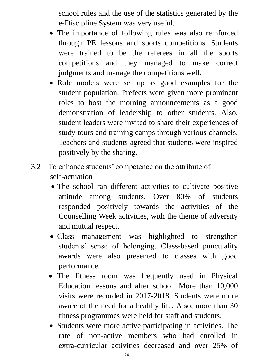school rules and the use of the statistics generated by the e-Discipline System was very useful.

- The importance of following rules was also reinforced through PE lessons and sports competitions. Students were trained to be the referees in all the sports competitions and they managed to make correct judgments and manage the competitions well.
- Role models were set up as good examples for the student population. Prefects were given more prominent roles to host the morning announcements as a good demonstration of leadership to other students. Also, student leaders were invited to share their experiences of study tours and training camps through various channels. Teachers and students agreed that students were inspired positively by the sharing.
- 3.2 To enhance students' competence on the attribute of self-actuation
	- The school ran different activities to cultivate positive attitude among students. Over 80% of students responded positively towards the activities of the Counselling Week activities, with the theme of adversity and mutual respect.
	- Class management was highlighted to strengthen students' sense of belonging. Class-based punctuality awards were also presented to classes with good performance.
	- The fitness room was frequently used in Physical Education lessons and after school. More than 10,000 visits were recorded in 2017-2018. Students were more aware of the need for a healthy life. Also, more than 30 fitness programmes were held for staff and students.
	- Students were more active participating in activities. The rate of non-active members who had enrolled in extra-curricular activities decreased and over 25% of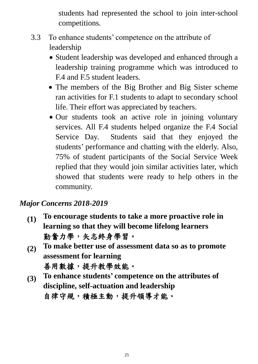students had represented the school to join inter-school competitions.

- 3.3 To enhance students' competence on the attribute of leadership
	- Student leadership was developed and enhanced through a leadership training programme which was introduced to F.4 and F.5 student leaders.
	- The members of the Big Brother and Big Sister scheme ran activities for F.1 students to adapt to secondary school life. Their effort was appreciated by teachers.
	- Our students took an active role in joining voluntary services. All F.4 students helped organize the F.4 Social Service Day. Students said that they enjoyed the students' performance and chatting with the elderly. Also, 75% of student participants of the Social Service Week replied that they would join similar activities later, which showed that students were ready to help others in the community.

## *Major Concerns 2018-2019*

- **(1) To encourage students to take a more proactive role in learning so that they will become lifelong learners** 勤奮力學,矢志終身學習。
- **(2) To make better use of assessment data so as to promote assessment for learning** 善用數據,提升教學效能。
- **(3) To enhance students' competence on the attributes of discipline, self-actuation and leadership** 自律守規,積極主動,提升領導才能。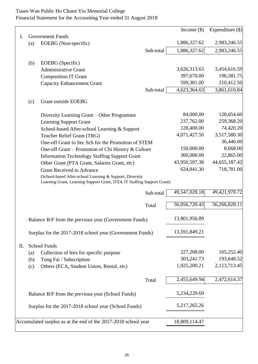#### Tsuen Wan Public Ho Chuen Yiu Memorial College Financial Statement for the Accounting Year ended 31 August 2018

|    |                                                                                                                                      |                                                                    |           | Income $(\$)$ | Expenditure $(\$)$ |
|----|--------------------------------------------------------------------------------------------------------------------------------------|--------------------------------------------------------------------|-----------|---------------|--------------------|
| Ι. |                                                                                                                                      | <b>Government Funds</b>                                            |           |               |                    |
|    | (a)                                                                                                                                  | EOEBG (Non-specific)                                               |           | 1,886,327.62  | 2,983,246.55       |
|    |                                                                                                                                      |                                                                    | Sub-total | 1,886,327.62  | 2,983,246.55       |
|    | (b)                                                                                                                                  | EOEBG (Specific)                                                   |           |               |                    |
|    |                                                                                                                                      | <b>Administrative Grant</b>                                        |           | 3,626,313.63  | 3,454,616.59       |
|    |                                                                                                                                      | <b>Composition IT Grant</b>                                        |           | 397,670.00    | 196,581.75         |
|    |                                                                                                                                      | <b>Capacity Enhancement Grant</b>                                  |           | 599,381.00    | 210,412.50         |
|    |                                                                                                                                      |                                                                    | Sub-total | 4,623,364.63  | 3,861,610.84       |
|    | (c)                                                                                                                                  | Grant outside EOEBG                                                |           |               |                    |
|    |                                                                                                                                      | Diversity Learning Grant - Other Programme                         |           | 84,000.00     | 128,654.60         |
|    |                                                                                                                                      | <b>Learning Support Grant</b>                                      |           | 237,762.00    | 259,368.20         |
|    |                                                                                                                                      | School-based After-school Learning & Support                       |           | 128,400.00    | 74,420.20          |
|    |                                                                                                                                      | Teacher Relief Grant (TRG)                                         |           | 4,071,427.50  | 3,517,580.30       |
|    |                                                                                                                                      | One-off Grant to Sec Sch for the Promotion of STEM                 |           |               | 36,446.00          |
|    |                                                                                                                                      | One-off Grant – Promotion of Chi History & Culture                 |           | 150,000.00    | 8,668.00           |
|    |                                                                                                                                      | <b>Information Technology Staffing Support Grant</b>               |           | 300,000.00    | 22,865.00          |
|    |                                                                                                                                      | Other Grant (PTA Grant, Salaries Grant, etc)                       |           | 43,950,597.38 | 44,655,187.42      |
|    |                                                                                                                                      | Grant Received in Advance                                          |           | 624,841.30    | 718,781.00         |
|    | (School-based After-school Learning & Support, Diversity<br>Learning Grant, Learning Support Grant, ITE4, IT Staffing Support Grant) |                                                                    |           |               |                    |
|    |                                                                                                                                      |                                                                    | Sub-total | 49,547,028.18 | 49,421,970.72      |
|    |                                                                                                                                      |                                                                    | Total     | 56,056,720.43 | 56,266,828.11      |
|    |                                                                                                                                      | Balance B/F from the previous year (Government Funds)              |           | 13,801,956.89 |                    |
|    | Surplus for the 2017-2018 school year (Government Funds)                                                                             |                                                                    |           | 13,591,849.21 |                    |
|    |                                                                                                                                      |                                                                    |           |               |                    |
| П. |                                                                                                                                      | School Funds                                                       |           | 227,208.00    | 165,252.40         |
|    | $\left( a\right)$                                                                                                                    | Collection of fees for specific purpose<br>Tong Fai / Subscription |           | 303,241.73    | 193,648.52         |
|    | (b)<br>(c)                                                                                                                           | Others (ECA, Student Union, Rental, etc)                           |           | 1,925,200.21  | 2,113,713.45       |
|    |                                                                                                                                      |                                                                    |           |               |                    |
|    |                                                                                                                                      |                                                                    | Total     | 2,455,649.94  | 2,472,614.37       |
|    | Balance B/F from the previous year (School Funds)                                                                                    |                                                                    |           | 5,234,229.69  |                    |
|    |                                                                                                                                      | Surplus for the 2017-2018 school year (School Funds)               |           | 5,217,265.26  |                    |
|    |                                                                                                                                      | Accumulated surplus as at the end of the 2017-2018 school year     |           | 18,809,114.47 |                    |
|    |                                                                                                                                      |                                                                    |           |               |                    |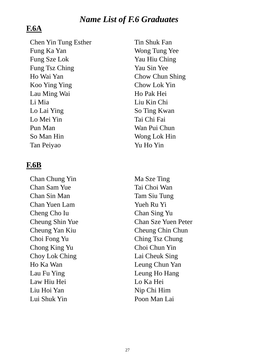### *Name List of F.6 Graduates*

### **F.6A**

Chen Yin Tung Esther Tin Shuk Fan Fung Ka Yan Wong Tung Yee Fung Sze Lok Yau Hiu Ching Fung Tsz Ching Yau Sin Yee Ho Wai Yan Chow Chun Shing Koo Ying Ying Chow Lok Yin Lau Ming Wai **Ho Pak Hei** Li Mia Liu Kin Chi Lo Lai Ying So Ting Kwan Lo Mei Yin Tai Chi Fai Pun Man Wan Pui Chun So Man Hin Wong Lok Hin Tan Peiyao Yu Ho Yin

### **F.6B**

Chan Chung Yin Ma Sze Ting Chan Sam Yue Tai Choi Wan Chan Sin Man Tam Siu Tung Chan Yuen Lam Yueh Ru Yi Cheng Cho Iu Chan Sing Yu Choi Fong Yu Ching Tsz Chung Chong King Yu Choi Chun Yin Choy Lok Ching Lai Cheuk Sing Ho Ka Wan Leung Chun Yan Lau Fu Ying Leung Ho Hang Law Hiu Hei Lo Ka Hei Liu Hoi Yan Nip Chi Him Lui Shuk Yin Poon Man Lai

Cheung Shin Yue Chan Sze Yuen Peter Cheung Yan Kiu Cheung Chin Chun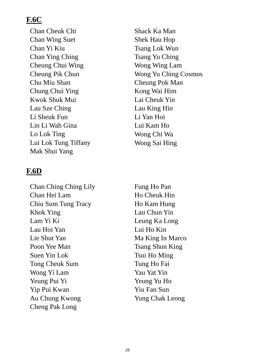## **F.6C**

Chan Cheuk Chi Shack Ka Man Chan Wing Suet Shek Hau Hop Chan Yi Kiu Tsang Lok Wun Chan Ying Ching Tsang Yu Ching Cheung Chui Wing Wing Wong Wing Lam Chu Miu Shan Cheung Pok Man Chung Chui Ying Kong Wai Him Kwok Shuk Mui Lai Cheuk Yin Lau Sze Ching Lau King Hin Li Sheuk Fun Li Yan Hoi Lin Li Wah Gina Lui Kam Ho Lo Lok Ting Wong Chi Wa Lui Lok Tung Tiffany Wong Sai Hing Mak Shui Yang

### **F.6D**

Chan Ching Ching Lily Fung Ho Pan Chan Hei Lam Ho Cheuk Hin Chiu Sum Tung Tracy Ho Kam Hung Khok Ying Lau Chun Yin Lam Yi Ki Leung Ka Long Lau Hoi Yan Lui Ho Kin Lie Shut Yan Maxim Ma King In Marco Poon Yee Man Tsang Shun King Suen Yin Lok Tsui Ho Ming Tong Cheuk Sum Tung Ho Fai Wong Yi Lam Yau Yau Yat Yin Yeung Pui Yi Yeung Yu Ho Yip Pui Kwan Yiu Fan Sun Au Chung Kwong Yung Chak Leong Cheng Pak Long

Cheung Pik Chun Wong Yu Ching Cosmos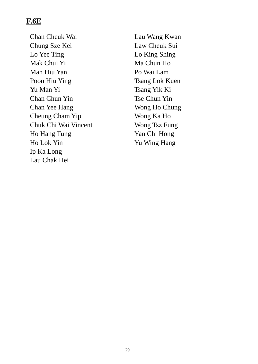## **F.6E**

Chan Cheuk Wai Lau Wang Kwan Chung Sze Kei Law Cheuk Sui Lo Yee Ting Lo King Shing Mak Chui Yi Machun Ho Man Hiu Yan Po Wai Lam Poon Hiu Ying Tsang Lok Kuen Yu Man Yi Tsang Yik Ki Chan Chun Yin Tse Chun Yin Chan Yee Hang Wong Ho Chung Cheung Cham Yip Wong Ka Ho Chuk Chi Wai Vincent Wong Tsz Fung Ho Hang Tung Yan Chi Hong Ho Lok Yin Yu Wing Hang Ip Ka Long Lau Chak Hei